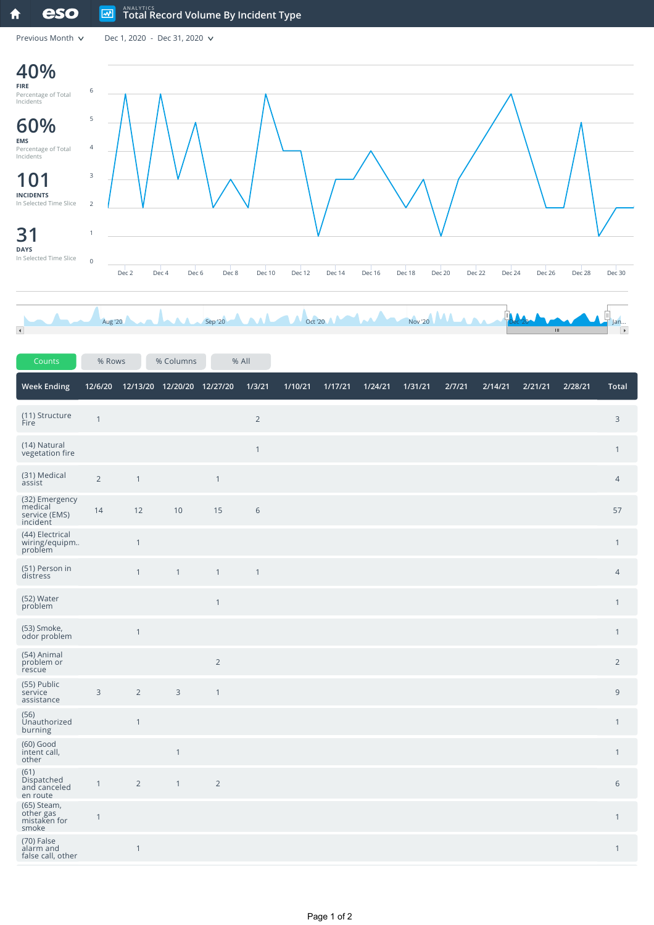## eso  $\boxed{\sim}$ **ANALYTICS Total Record Volume By Incident Type** 合

Previous Month  $\sqrt{ }$  Dec 1, 2020 - Dec 31, 2020  $\sqrt{ }$ 



| Counts                                                 | % Rows         |                | % Columns                  | % All          |                |         |         |         |         |        |         |         |         |                |
|--------------------------------------------------------|----------------|----------------|----------------------------|----------------|----------------|---------|---------|---------|---------|--------|---------|---------|---------|----------------|
| <b>Week Ending</b>                                     | 12/6/20        |                | 12/13/20 12/20/20 12/27/20 |                | 1/3/21         | 1/10/21 | 1/17/21 | 1/24/21 | 1/31/21 | 2/7/21 | 2/14/21 | 2/21/21 | 2/28/21 | <b>Total</b>   |
| (11) Structure<br>Fire                                 | $\overline{1}$ |                |                            |                | $\overline{2}$ |         |         |         |         |        |         |         |         | $\mathsf{3}$   |
| (14) Natural<br>vegetation fire                        |                |                |                            |                | $\mathbf{1}$   |         |         |         |         |        |         |         |         | $\mathbf{1}$   |
| (31) Medical<br>assist                                 | $\overline{2}$ | $\mathbf{1}$   |                            | $\mathbf{1}$   |                |         |         |         |         |        |         |         |         | $\overline{4}$ |
| (32) Emergency<br>medical<br>service (EMS)<br>incident | 14             | 12             | $10$                       | 15             | $6\,$          |         |         |         |         |        |         |         |         | 57             |
| (44) Electrical<br>wiring/equipm.<br>problem           |                | $\mathbf{1}$   |                            |                |                |         |         |         |         |        |         |         |         | $\mathbf{1}$   |
| (51) Person in<br>distress                             |                | $\mathbf{1}$   | $\mathbf{1}$               | $\mathbf{1}$   | $\mathbf{1}$   |         |         |         |         |        |         |         |         | $\overline{4}$ |
| (52) Water<br>problem                                  |                |                |                            | $\mathbf{1}$   |                |         |         |         |         |        |         |         |         | $\mathbf{1}$   |
| (53) Smoke,<br>odor problem                            |                | $\mathbf{1}$   |                            |                |                |         |         |         |         |        |         |         |         | $\mathbf{1}$   |
| (54) Animal<br>problem or<br>rescue                    |                |                |                            | $\overline{2}$ |                |         |         |         |         |        |         |         |         | $\overline{2}$ |
| (55) Public<br>service<br>assistance                   | $\overline{3}$ | $\overline{2}$ | $\mathsf{3}$               | $\mathbf{1}$   |                |         |         |         |         |        |         |         |         | $\overline{9}$ |
| (56)<br>Unauthorized<br>burning                        |                | $\mathbf{1}$   |                            |                |                |         |         |         |         |        |         |         |         | $\mathbf{1}$   |
| (60) Good<br>intent call,<br>other                     |                |                | $\mathbf{1}$               |                |                |         |         |         |         |        |         |         |         | $\mathbf{1}$   |
| (61)<br>Dispatched<br>and canceled<br>en route         | $\mathbf{1}$   | $\overline{2}$ | $\mathbf{1}$               | $\overline{2}$ |                |         |         |         |         |        |         |         |         | $\sqrt{6}$     |
| (65) Steam,<br>other gas<br>mistaken for<br>smoke      | $\mathbf{1}$   |                |                            |                |                |         |         |         |         |        |         |         |         | $\mathbf{1}$   |
| (70) False<br>alarm and<br>false call, other           |                | $\mathbf{1}$   |                            |                |                |         |         |         |         |        |         |         |         | $\mathbf{1}$   |